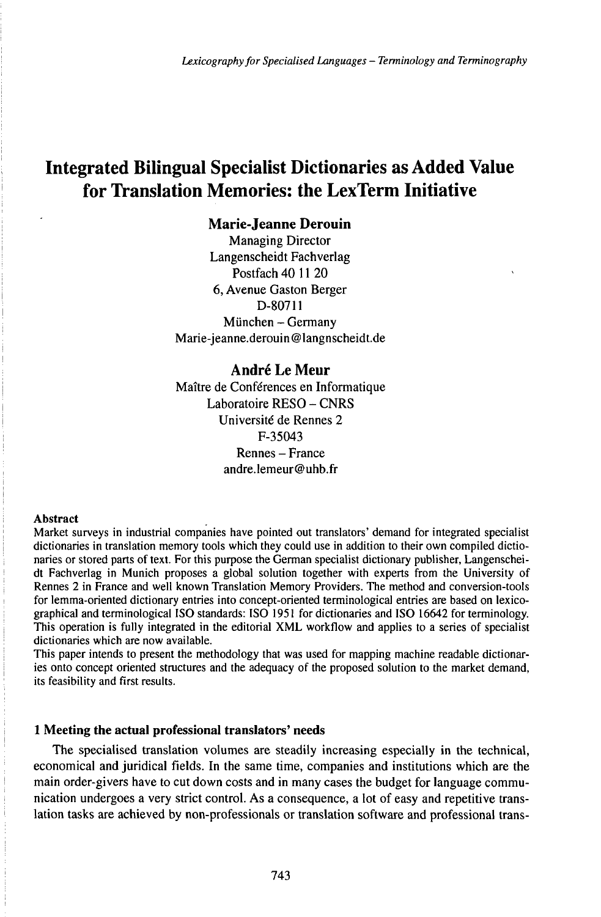# Integrated Bilingual Specialist Dictionaries as Added Value for Translation Memories: the LexTerm Initiative

# **Marie-Jeanne Derouin**

Managing Director Langenscheidt Fachverlag Postfach 40 11 20 6, Avenue Gaston Berger D-80711 München - Germany Marie-jeanne.derouin@langnscheidt.de

# **André Le Meur**

Maître de Conférences en Informatique Laboratoire RESO - CNRS Université de Rennes 2 F-35043 Rennes - France andre.lemeur@uhb.fr

#### Abstract

Market surveys in industrial companies have pointed out translators' demand for integrated specialist dictionaries in translation memory tools which they could use in addition to their own compiled dictionaries or stored parts of text. For this purpose the German specialist dictionary publisher, Langenscheidt Fachverlag in Munich proposes a global solution together with experts from the University of Rennes 2 in France and well known Translation Memory Providers. The method and conversion-tools for lemma-oriented dictionary entries into concept-oriented terminological entries are based on lexicographical and terminological ISO standards: ISO 1951 for dictionaries and ISO 16642 for terminology. This operation is fully integrated in the editorial XML workflow and applies to a series of specialist dictionaries which are now available.

This paper intends to present the methodology that was used for mapping machine readable dictionaries onto concept oriented structures and the adequacy of the proposed solution to the market demand, its feasibility and first results.

# **1 Meeting the actual professional translators' needs**

The specialised translation volumes are steadily increasing especially in the technical, economical and juridical fields. In the same time, companies and institutions which are the main order-givers have to cut down costs and in many cases the budget for language communication undergoes a very strict control. As a consequence, a lot of easy and repetitive translation tasks are achieved by non-professionals or translation software and professional trans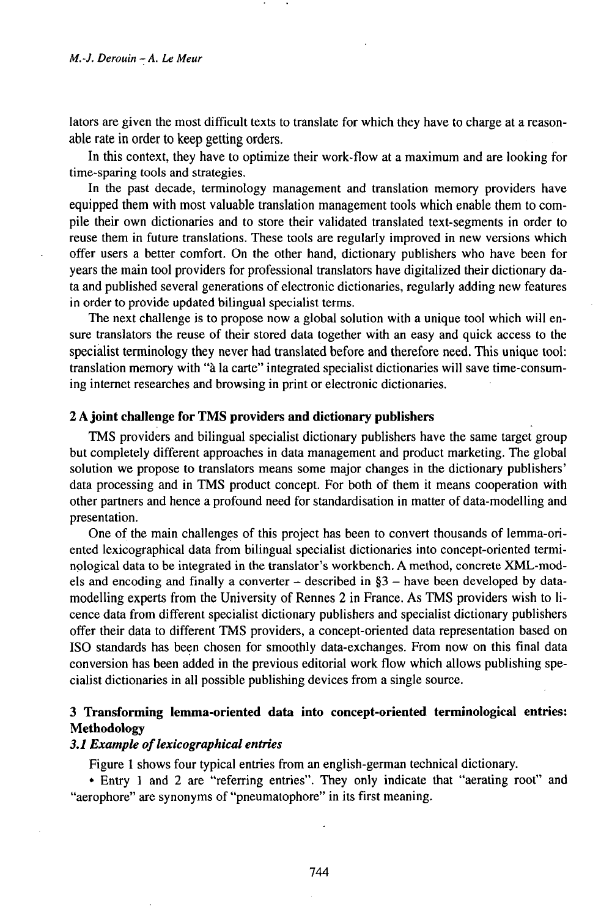Iators are given the most difficult texts to translate for which they have to charge at a reasonable rate in order to keep getting orders.

In this context, they have to optimize their work-flow at a maximum and are looking for time-sparing tools and strategies.

In the past decade, terminology management and translation memory providers have equipped them with most valuable translation management tools which enable them to compile their own dictionaries and to store their validated translated text-segments in order to reuse them in future translations. These tools are regularly improved in new versions which offer users a better comfort. On the other hand, dictionary publishers who have been for years the main tool providers for professional translators have digitalized their dictionary data and published several generations of electronic dictionaries, regularly adding new features in order to provide updated bilingual specialist terms.

The next challenge is to propose now a global solution with a unique tool which will ensure translators the reuse of their stored data together with an easy and quick access to the specialist terminology they never had translated before and therefore need. This unique tool: translation memory with "à la carte" integrated specialist dictionaries will save time-consuming internet researches and browsing in print or electronic dictionaries.

### **2Ajoint challenge for TMS providers and dictionary publishers**

TMS providers and bilingual specialist dictionary publishers have the same target group but completely different approaches in data management and product marketing. The global solution we propose to translators means some major changes in the dictionary publishers' data processing and in TMS product concept. For both of them it means cooperation with other partners and hence a profound need for standardisation in matter of data-modelling and presentation.

One of the main challenges of this project has been to convert thousands of lemma-oriented lexicographical data from bilingual specialist dictionaries into concept-oriented terminological data to be integrated in the translator's workbench. A method, concrete XML-models and encoding and finally <sup>a</sup> converter - described in §3 - have been developed by datamodelling experts from the University of Rennes 2 in France. As TMS providers wish to licence data from different specialist dictionary publishers and specialist dictionary publishers offer their data to different TMS providers, a concept-oriented data representation based on ISO standards has been chosen for smoothly data-exchanges. From now on this final data conversion has been added in the previous editorial work flow which allows publishing specialist dictionaries in all possible publishing devices from a single source.

# **3 Transforming lemma-oriented data into concept-oriented terminological entries: Methodology**

#### **3.1 Example of lexicographical entries**

Figure <sup>1</sup> shows four typical entries from an english-german technical dictionary.

• Entry <sup>1</sup> and 2 are "referring entries". They only indicate that "aerating root" and "aerophore" are synonyms of "pneumatophore" in its first meaning.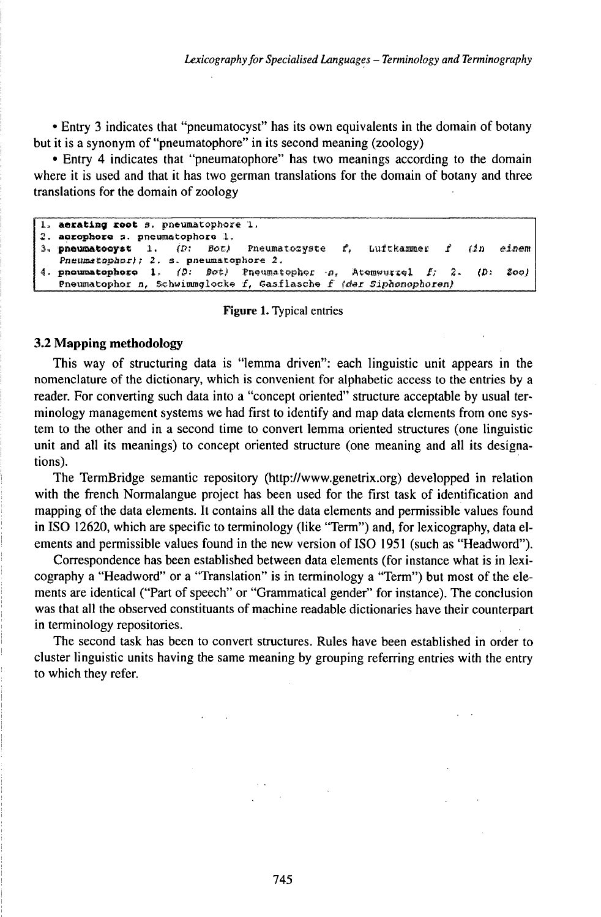• Entry 3 indicates that "pneumatocyst" has its own equivalents in the domain of botany but it is a synonym of "pneumatophore" in its second meaning (zoology)

• Entry 4 indicates that "pneumatophore" has two meanings according to the domain where it is used and that it has two german translations for the domain of botany and three translations for the domain of zoology

```
1. aerating root s. pneumatophore 1.
2. acrophore s. pneumatophore 1.
3. pheumatooyst 1. (D: Bot)Pneumatozyste
                                                   ŕ,
                                                        Luftkammer
                                                                         (2n)Ainam
  Pneumetophor); 2. s. pneumatophore 2.
4. pnoumatophoro 1. (D: Bot) Pnoumatophor n. Atomwurzel f_i\overline{2}.
                                                                           \mathbf{D}:
                                                                                Zool
   Pneumatophor n, Schwimmglocke f, Gasflasche f (der Siphonophoren)
```
#### **Figure 1.** Typical entries

### 3.2 Mapping methodology

This way of structuring data is "lemma driven": each linguistic unit appears in the nomenclature of the dictionary, which is convenient for alphabetic access to the entries by a reader. For converting such data into a "concept oriented" structure acceptable by usual terminology management systems we had first to identify and map data elements from one system to the other and in a second time to convert lemma oriented structures (one linguistic unit and all its meanings) to concept oriented structure (one meaning and all its designations).

The TermBridge semantic repository (http://www.genetrix.org) developped in relation with the french Normalangue project has been used for the first task of identification and mapping of the data elements. It contains all the data elements and permissible values found in ISO 12620, which are specific to terminology (like "Term") and, for lexicography, data elements and permissible values found in the new version of ISO 1951 (such as "Headword").

Correspondence has been established between data elements (for instance what is in lexicography a "Headword" or a "Translation" is in terminology a "Term") but most of the elements are identical ("Part of speech" or "Grammatical gender" for instance). The conclusion was that all the observed constituants of machine readable dictionaries have their counterpart in terminology repositories.

The second task has been to convert structures. Rules have been established in order to cluster linguistic units having the same meaning by grouping referring entries with the entry to which they refer.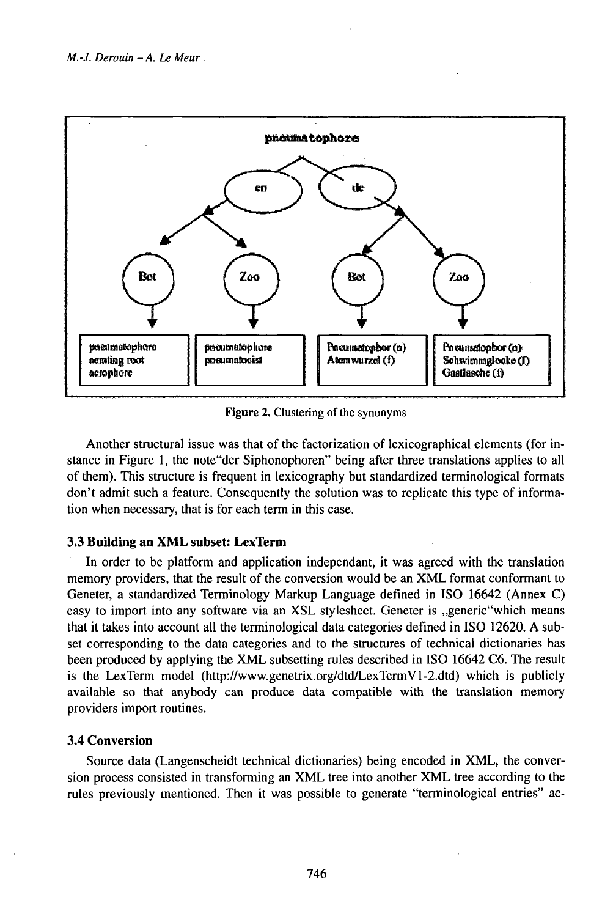

Figure 2. Clustering of the synonyms

Another structural issue was that of the factorization of lexicographical elements (for instance in Figure 1, the note "der Siphonophoren" being after three translations applies to all of them). This structure is frequent in lexicography but standardized terminological formats don't admit such a feature. Consequently the solution was to replicate this type of information when necessary, that is for each term in this case.

## 3.3 Building an XML subset: LexTerm

In order to be platform and application independant, it was agreed with the translation memory providers, that the result of the conversion would be an XML format conformant to Geneter, a standardized Terminology Markup Language defined in ISO 16642 (Annex C) easy to import into any software via an XSL stylesheet. Geneter is "generic"which means that it takes into account all the terminological data categories defined in ISO 12620. A subset corresponding to the data categories and to the structures of technical dictionaries has been produced by applying the XML subsetting rules described in ISO 16642 C6. The result is the LexTerm model (http://www.genetrix.org/dtd/LexTermV1-2.dtd) which is publicly available so that anybody can produce data compatible with the translation memory providers import routines.

### **3.4 Conversion**

Source data (Langenscheidt technical dictionaries) being encoded in XML, the conversion process consisted in transforming an XML tree into another XML tree according to the rules previously mentioned. Then it was possible to generate "terminological entries" ac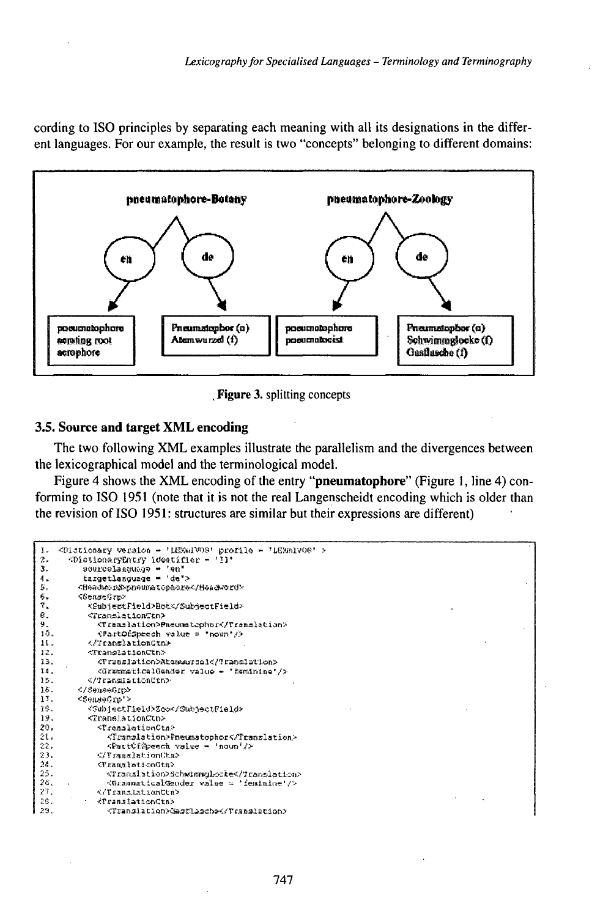cording to ISO principles by separating each meaning with all its designations in the different languages. For our example, the result is two "concepts" belonging to different domains:



Figure 3. splitting concepts

## 3.5. Source and target XML encoding

The two following XML examples illustrate the parallelism and the divergences between the lexicographical model and the terminological model.

Figure 4 shows the XML encoding of the entry "pneumatophore" (Figure 1, line 4) conforming to ISO 1951 (note that it is not the real Langenscheidt encoding which is older than the revision of ISO 1951: structures are similar but their expressions are different)

```
<Dictionary version - 'LEWGIVOS' profile - 'LEGEIVOS' >
      <DictionaryEntry identifier - 'Il'
\overline{2}pourcelanguage = 'en'><br>targetLanguage = 'de'>
З,
\delta .
5,
        <theedword>presumetophore</Headword>
\frac{6}{7}<SenseGrp>
           <SubjectField>Bot</SubjectField>
€.
          <TranslationCtn>
ğ.
             <Translation>Pheumatophor</Translation>
10.
             KPartOfSpeech value = "noun"/>
          </TranslationGtn>
11.
12.
          <TranslationCtn>
13.
             <Translation>Atementsel</Translation>
             <GrammaticalGender value - 'faminina'/>
38.32.
          </?ranslationCtm>
        </Зенение>
15 .
17.
        <SeaseGrp'>
16.
           <SubjectField>Sco</SubjectField>
19.
           <TranslationCtn>
20.
             <TranslationCtn>
21.
               <Translation>Pneumstophor</Translation>
22.
               <FartCfSpeech value = 'noun'/>
23.
             </TranslationCtn>
24.<FranslationGtn>
              <Translation>Schwimmgle=ke</Translatica>
25.
26.
               <GrannaticalGender value = 'feminine'/>
27.
             </TranslationCtn>
28.
            <TranslationCtn>
29.
               <Translation>Gasflasche</Translation>
```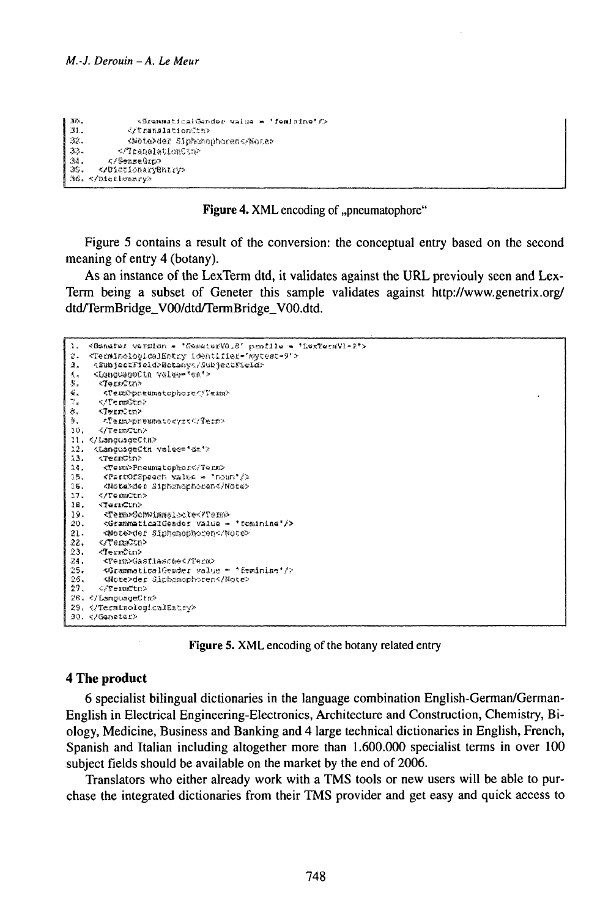```
ters.
               <SEERMAticalGander value = 'femisine' />
31.</TranslationCtm>
            <Note>der Siphemonheren</Note>
32.
          <flamslationCtm>
2.2 - 1.2-3.5.
        </SenseGrg>
ുട്ട
      </DictionaryEntry>
36. </Dictionary>
```
**Figure 4. XML** encoding of "pneumatophore"

Figure 5 contains a result of the conversion: the conceptual entry based on the second meaning of entry 4 (botany).

As an instance of the LexTerm dtd, it validates against the URL previouly seen and Lex-Term being a subset of Geneter this sample validates against http://www.genetrix.org/ dtd/TermBridge V00/dtd/TermBridge V00.dtd.

```
1. < Gamater version = 'GeneterVO.8' profile = 'LexTerNVL-2'>
    <TerminologicalEntry identifier='mytest=9">
\mathcal{D}_{\mathcal{A}}<SubjectField>Betany</SubjectField>
\mathbf{a}.
    <LanguageCtn value="sa'>
\Lambda ,
S_{\pi}<TermCun>
\mathbb{Q} .
      <Term>pneumatophore</Term>
Ŧ.
     – </Te mn©tn>
й.
     ∹TernCon>
Ÿ.
      - <Temppneumatocyst</Term>
16.
     </Tem/2un>
11. «ALanquageCta>
12. «LanguageCtn value="de'>
13.
      <TermCtn>
      <Tem>Pneumatophor</Term>
2.3 -15.<PartOfSpeech value = "noun"/>
16.<Nota>der Siphonophoren</Note>
17.7CTG CCTG16.
     CramCun>
      <Term>Schwimmslocte</Term>
19.
      <GrammaticalGender value = "feminine"/>
20.
21.<Note>der Siphanophasen</Note>
      </Term?tn>
22.23.<Te ຫາລືເກ>
24.
      CPA modia at Lasched CParma
       SGrammaticalGeader value = "feminine"/>
25.
55.<Note>der dipbonophoren</Note>
李学.
      - ເປັກະການຕຳລະປະ
28. </LanguageCtm>
29. «/TerminologicalEstry»
30. </Genetac>
```
Figure 5. XML encoding of the botany related entry

# 4 The product

6 specialist bilingual dictionaries in the language combination English-German/German-English in Electrical Engineering-Electronics, Architecture and Construction, Chemistry, Biology, Medicine, Business and Banking and 4 large technical dictionaries in English, French, Spanish and Italian including altogether more than 1.600.000 specialist terms in over 100 subject fields should be available on the market by the end of 2006.

Translators who either already work with a TMS tools or new users will be able to purchase the integrated dictionaries from their TMS provider and get easy and quick access to